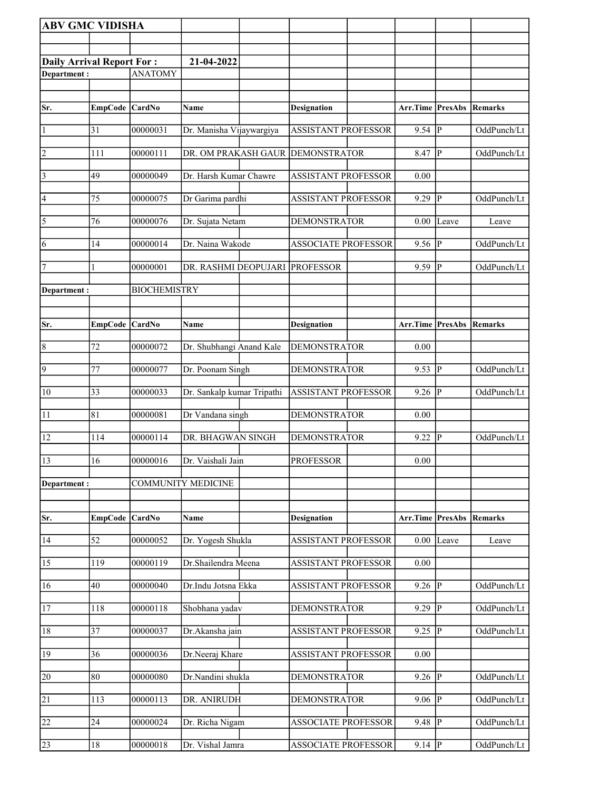| <b>ABV GMC VIDISHA</b>           |                |                     |                                |                                  |                         |                         |             |
|----------------------------------|----------------|---------------------|--------------------------------|----------------------------------|-------------------------|-------------------------|-------------|
|                                  |                |                     |                                |                                  |                         |                         |             |
| <b>Daily Arrival Report For:</b> |                |                     | 21-04-2022                     |                                  |                         |                         |             |
| Department:                      |                | <b>ANATOMY</b>      |                                |                                  |                         |                         |             |
|                                  |                |                     |                                |                                  |                         |                         |             |
| Sr.                              | EmpCode CardNo |                     | Name                           | <b>Designation</b>               | Arr.Time PresAbs        |                         | Remarks     |
|                                  |                |                     |                                |                                  |                         |                         |             |
| $\vert$ 1                        | 31             | 00000031            | Dr. Manisha Vijaywargiya       | <b>ASSISTANT PROFESSOR</b>       | 9.54                    | P                       | OddPunch/Lt |
| $ 2\rangle$                      | 111            | 00000111            |                                | DR. OM PRAKASH GAUR DEMONSTRATOR | 8.47                    | P                       | OddPunch/Lt |
| $\vert 3 \vert$                  | 49             | 00000049            | Dr. Harsh Kumar Chawre         | <b>ASSISTANT PROFESSOR</b>       | 0.00                    |                         |             |
| 4                                | 75             | 00000075            | Dr Garima pardhi               | <b>ASSISTANT PROFESSOR</b>       | 9.29                    | P                       | OddPunch/Lt |
| $\vert 5 \vert$                  | 76             | 00000076            | Dr. Sujata Netam               | <b>DEMONSTRATOR</b>              | 0.00                    | Leave                   | Leave       |
| 6                                | 14             | 00000014            | Dr. Naina Wakode               | <b>ASSOCIATE PROFESSOR</b>       | 9.56                    | $\overline{\mathbf{P}}$ | OddPunch/Lt |
| 7                                | 1              | 00000001            | DR. RASHMI DEOPUJARI PROFESSOR |                                  | 9.59                    | P                       | OddPunch/Lt |
| Department :                     |                | <b>BIOCHEMISTRY</b> |                                |                                  |                         |                         |             |
|                                  |                |                     |                                |                                  |                         |                         |             |
|                                  |                |                     |                                |                                  |                         |                         |             |
| Sr.                              | EmpCode CardNo |                     | Name                           | <b>Designation</b>               | <b>Arr.Time PresAbs</b> |                         | Remarks     |
| $\vert 8$                        | 72             | 00000072            | Dr. Shubhangi Anand Kale       | <b>DEMONSTRATOR</b>              | 0.00                    |                         |             |
| $\vert 9 \vert$                  | 77             | 00000077            | Dr. Poonam Singh               | <b>DEMONSTRATOR</b>              | 9.53                    | P                       | OddPunch/Lt |
| 10                               | 33             | 00000033            | Dr. Sankalp kumar Tripathi     | <b>ASSISTANT PROFESSOR</b>       | 9.26                    | P                       | OddPunch/Lt |
| <sup>11</sup>                    | 81             | 00000081            | Dr Vandana singh               | <b>DEMONSTRATOR</b>              | 0.00                    |                         |             |
| 12                               | 114            | 00000114            | DR. BHAGWAN SINGH              | <b>DEMONSTRATOR</b>              | 9.22                    | $\overline{\mathbf{P}}$ | OddPunch/Lt |
| 13                               | 16             | 00000016            | Dr. Vaishali Jain              | <b>PROFESSOR</b>                 | 0.00                    |                         |             |
| Department:                      |                |                     | <b>COMMUNITY MEDICINE</b>      |                                  |                         |                         |             |
|                                  |                |                     |                                |                                  |                         |                         |             |
| Sr.                              | EmpCode CardNo |                     | Name                           | <b>Designation</b>               | Arr.Time PresAbs        |                         | Remarks     |
| 14                               | 52             | 00000052            | Dr. Yogesh Shukla              | <b>ASSISTANT PROFESSOR</b>       | 0.00                    | Leave                   | Leave       |
| 15                               | 119            | 00000119            | Dr.Shailendra Meena            | <b>ASSISTANT PROFESSOR</b>       | 0.00                    |                         |             |
| 16                               | 40             | 00000040            | Dr.Indu Jotsna Ekka            | <b>ASSISTANT PROFESSOR</b>       | 9.26                    | P                       | OddPunch/Lt |
| <sup>17</sup>                    | 118            | 00000118            | Shobhana yadav                 | <b>DEMONSTRATOR</b>              | 9.29                    | P                       | OddPunch/Lt |
| 18                               | 37             | 00000037            | Dr.Akansha jain                | <b>ASSISTANT PROFESSOR</b>       | 9.25                    | P                       | OddPunch/Lt |
| 19                               | 36             | 00000036            | Dr.Neeraj Khare                | <b>ASSISTANT PROFESSOR</b>       | 0.00                    |                         |             |
| 20                               | 80             | 00000080            | Dr.Nandini shukla              | <b>DEMONSTRATOR</b>              | 9.26                    | P                       | OddPunch/Lt |
| 21                               | 113            | 00000113            | DR. ANIRUDH                    | <b>DEMONSTRATOR</b>              | 9.06                    | $\overline{\mathbf{P}}$ | OddPunch/Lt |
| 22                               | 24             | 00000024            | Dr. Richa Nigam                | <b>ASSOCIATE PROFESSOR</b>       | 9.48                    | P                       | OddPunch/Lt |
| 23                               | 18             | 00000018            | Dr. Vishal Jamra               | <b>ASSOCIATE PROFESSOR</b>       | $9.14$ P                |                         | OddPunch/Lt |
|                                  |                |                     |                                |                                  |                         |                         |             |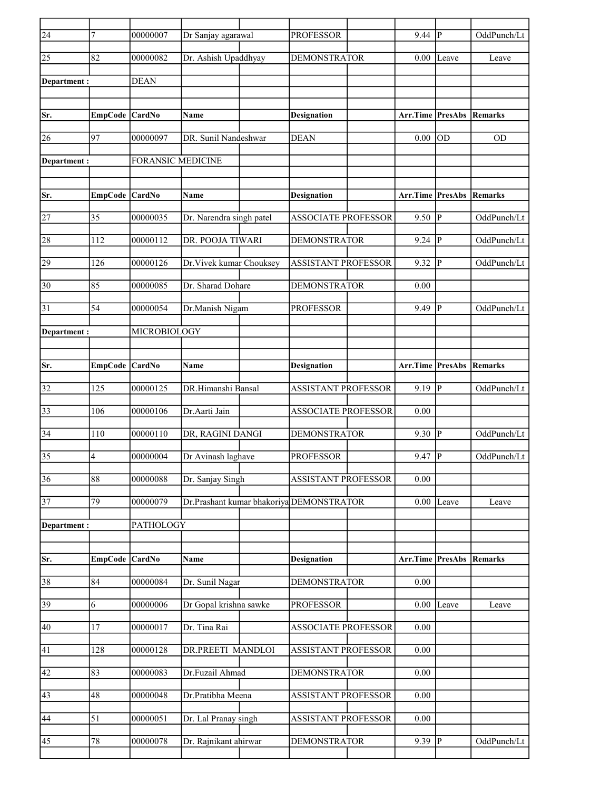| $\overline{24}$ | $\tau$          | 00000007                 | Dr Sanjay agarawal       | <b>PROFESSOR</b>                         | $9.44$ P         |                | OddPunch/Lt    |
|-----------------|-----------------|--------------------------|--------------------------|------------------------------------------|------------------|----------------|----------------|
| 25              | 82              | 00000082                 | Dr. Ashish Upaddhyay     | <b>DEMONSTRATOR</b>                      | 0.00             | Leave          | Leave          |
| Department :    |                 | <b>DEAN</b>              |                          |                                          |                  |                |                |
|                 |                 |                          |                          |                                          |                  |                |                |
| Sr.             | EmpCode CardNo  |                          | Name                     | <b>Designation</b>                       | Arr.Time PresAbs |                | Remarks        |
| 26              | 97              | 00000097                 | DR. Sunil Nandeshwar     | <b>DEAN</b>                              | 0.00             | lod            | <b>OD</b>      |
| Department:     |                 | <b>FORANSIC MEDICINE</b> |                          |                                          |                  |                |                |
|                 |                 |                          |                          |                                          |                  |                |                |
| Sr.             | EmpCode CardNo  |                          | Name                     | <b>Designation</b>                       | Arr.Time PresAbs |                | Remarks        |
| 27              | 35              | 00000035                 | Dr. Narendra singh patel | <b>ASSOCIATE PROFESSOR</b>               | 9.50             | P              | OddPunch/Lt    |
| 28              | 112             | 00000112                 | DR. POOJA TIWARI         | <b>DEMONSTRATOR</b>                      | 9.24             | IР             | OddPunch/Lt    |
| 29              | 126             | 00000126                 | Dr. Vivek kumar Chouksey | <b>ASSISTANT PROFESSOR</b>               | 9.32             | IР             | OddPunch/Lt    |
| 30              | 85              | 00000085                 | Dr. Sharad Dohare        | <b>DEMONSTRATOR</b>                      | 0.00             |                |                |
| 31              | 54              | 00000054                 | Dr.Manish Nigam          | <b>PROFESSOR</b>                         | 9.49             | P              | OddPunch/Lt    |
| Department:     |                 | MICROBIOLOGY             |                          |                                          |                  |                |                |
|                 |                 |                          |                          |                                          |                  |                |                |
| Sr.             | EmpCode CardNo  |                          | <b>Name</b>              | <b>Designation</b>                       | Arr.Time PresAbs |                | Remarks        |
| 32              | 125             | 00000125                 | DR.Himanshi Bansal       | <b>ASSISTANT PROFESSOR</b>               | 9.19  P          |                | OddPunch/Lt    |
| 33              | 106             | 00000106                 | Dr.Aarti Jain            | <b>ASSOCIATE PROFESSOR</b>               | 0.00             |                |                |
| 34              | 110             | 00000110                 | DR, RAGINI DANGI         | <b>DEMONSTRATOR</b>                      | 9.30             | <sup> </sup> P | OddPunch/Lt    |
| 35              | 4               | 00000004                 | Dr Avinash laghave       | <b>PROFESSOR</b>                         | 9.47             | lР             | OddPunch/Lt    |
| $\overline{36}$ | $\overline{88}$ | 00000088                 | Dr. Sanjay Singh         | ASSISTANT PROFESSOR                      | 0.00             |                |                |
| 37              | 79              | 00000079                 |                          | Dr.Prashant kumar bhakoriya DEMONSTRATOR | 0.00             | Leave          | Leave          |
| Department:     |                 | PATHOLOGY                |                          |                                          |                  |                |                |
|                 |                 |                          |                          |                                          |                  |                |                |
| Sr.             | EmpCode CardNo  |                          | <b>Name</b>              | <b>Designation</b>                       | Arr.Time PresAbs |                | <b>Remarks</b> |
| 38              | 84              | 00000084                 | Dr. Sunil Nagar          | <b>DEMONSTRATOR</b>                      | $0.00\,$         |                |                |
| $\overline{39}$ | 6               | 00000006                 | Dr Gopal krishna sawke   | <b>PROFESSOR</b>                         | 0.00             | Leave          | Leave          |
| 40              | 17              | 00000017                 | Dr. Tina Rai             | <b>ASSOCIATE PROFESSOR</b>               | 0.00             |                |                |
| 41              | 128             | 00000128                 | DR.PREETI MANDLOI        | <b>ASSISTANT PROFESSOR</b>               | 0.00             |                |                |
| 42              | 83              | 00000083                 | Dr.Fuzail Ahmad          | <b>DEMONSTRATOR</b>                      | 0.00             |                |                |
| 43              | 48              | 00000048                 | Dr.Pratibha Meena        | <b>ASSISTANT PROFESSOR</b>               | $0.00\,$         |                |                |
| 44              | 51              | 00000051                 | Dr. Lal Pranay singh     | <b>ASSISTANT PROFESSOR</b>               | $0.00\,$         |                |                |
| 45              | 78              | 00000078                 | Dr. Rajnikant ahirwar    | <b>DEMONSTRATOR</b>                      | $9.39$ P         |                | OddPunch/Lt    |
|                 |                 |                          |                          |                                          |                  |                |                |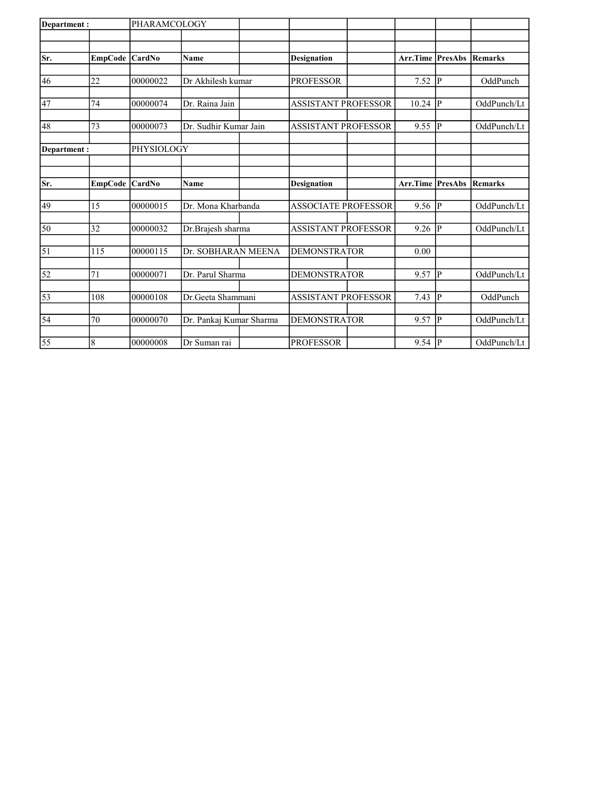| Department:     |                  | PHARAMCOLOGY |                         |                       |                            |                            |                           |              |             |
|-----------------|------------------|--------------|-------------------------|-----------------------|----------------------------|----------------------------|---------------------------|--------------|-------------|
|                 |                  |              |                         |                       |                            |                            |                           |              |             |
| Sr.             | EmpCode   CardNo |              | Name                    |                       | <b>Designation</b>         |                            | <b>Arr.Time   PresAbs</b> |              | Remarks     |
|                 |                  |              |                         |                       |                            |                            |                           |              |             |
| 46              | 22               | 00000022     | Dr Akhilesh kumar       |                       | <b>PROFESSOR</b>           |                            | 7.52                      | P            | OddPunch    |
|                 |                  |              |                         |                       |                            |                            |                           |              |             |
| 47              | 74               | 00000074     | Dr. Raina Jain          |                       | <b>ASSISTANT PROFESSOR</b> |                            | 10.24                     | P            | OddPunch/Lt |
| 48              | 73               | 00000073     |                         | Dr. Sudhir Kumar Jain |                            | <b>ASSISTANT PROFESSOR</b> |                           | IР           | OddPunch/Lt |
| Department:     |                  | PHYSIOLOGY   |                         |                       |                            |                            |                           |              |             |
|                 |                  |              |                         |                       |                            |                            |                           |              |             |
|                 |                  |              |                         |                       |                            |                            |                           |              |             |
| Sr.             | EmpCode CardNo   |              | Name                    |                       | <b>Designation</b>         |                            | Arr.Time PresAbs          |              | Remarks     |
| 49              | 15               | 00000015     | Dr. Mona Kharbanda      |                       | <b>ASSOCIATE PROFESSOR</b> |                            | 9.56                      | lР           | OddPunch/Lt |
| 50              | 32               | 00000032     | Dr.Brajesh sharma       |                       | <b>ASSISTANT PROFESSOR</b> |                            | 9.26                      | IР           | OddPunch/Lt |
|                 |                  |              |                         |                       |                            |                            |                           |              |             |
| 51              | 115              | 00000115     | Dr. SOBHARAN MEENA      |                       | <b>DEMONSTRATOR</b>        |                            | 0.00                      |              |             |
| 52              | 71               | 00000071     | Dr. Parul Sharma        |                       | <b>DEMONSTRATOR</b>        |                            | 9.57                      | $\mathsf{P}$ | OddPunch/Lt |
|                 |                  |              |                         |                       |                            |                            |                           |              |             |
| 53              | 108              | 00000108     | Dr. Geeta Shammani      |                       | <b>ASSISTANT PROFESSOR</b> |                            | 7.43                      | P            | OddPunch    |
| 54              | 70               | 00000070     | Dr. Pankaj Kumar Sharma |                       | <b>DEMONSTRATOR</b>        |                            | 9.57                      | lР           | OddPunch/Lt |
|                 |                  |              |                         |                       |                            |                            |                           |              |             |
| $\overline{55}$ | 8                | 00000008     | Dr Suman rai            |                       | <b>PROFESSOR</b>           |                            | 9.54                      | P            | OddPunch/Lt |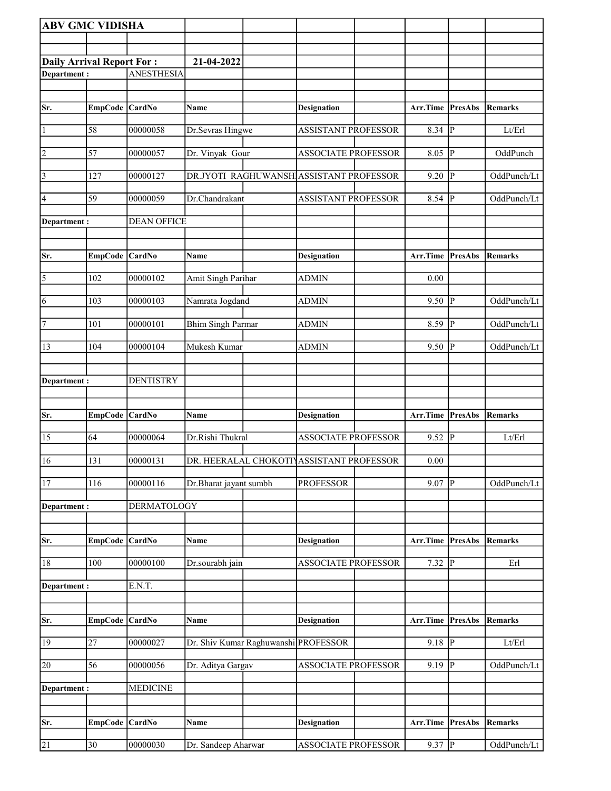| <b>ABV GMC VIDISHA</b>    |                 |                    |                                      |                                          |                  |                |                |
|---------------------------|-----------------|--------------------|--------------------------------------|------------------------------------------|------------------|----------------|----------------|
|                           |                 |                    |                                      |                                          |                  |                |                |
| Daily Arrival Report For: |                 |                    | 21-04-2022                           |                                          |                  |                |                |
| Department:               |                 | <b>ANESTHESIA</b>  |                                      |                                          |                  |                |                |
|                           |                 |                    |                                      |                                          |                  |                |                |
| Sr.                       | EmpCode CardNo  |                    | Name                                 | <b>Designation</b>                       | Arr.Time         | PresAbs        | <b>Remarks</b> |
| $\vert$ 1                 | 58              | 00000058           | Dr.Sevras Hingwe                     | <b>ASSISTANT PROFESSOR</b>               | $8.34$ P         |                | Lt/Erl         |
| 2                         | 57              | 00000057           | Dr. Vinyak Gour                      | ASSOCIATE PROFESSOR                      | $8.05$ P         |                | OddPunch       |
| 3                         | 127             | 00000127           |                                      | DR.JYOTI RAGHUWANSH ASSISTANT PROFESSOR  | 9.20             | $ {\bf p} $    | OddPunch/Lt    |
| 4                         | 59              | 00000059           | Dr.Chandrakant                       | <b>ASSISTANT PROFESSOR</b>               | $8.54$ P         |                | OddPunch/Lt    |
| Department :              |                 | <b>DEAN OFFICE</b> |                                      |                                          |                  |                |                |
| Sr.                       | EmpCode CardNo  |                    | Name                                 | <b>Designation</b>                       | Arr.Time         | PresAbs        | <b>Remarks</b> |
| 5                         | 102             | 00000102           | Amit Singh Parihar                   | <b>ADMIN</b>                             | 0.00             |                |                |
| 6                         | 103             | 00000103           | Namrata Jogdand                      | <b>ADMIN</b>                             | $9.50$ P         |                | OddPunch/Lt    |
| 7                         | 101             | 00000101           | <b>Bhim Singh Parmar</b>             | <b>ADMIN</b>                             | 8.59 $\boxed{P}$ |                | OddPunch/Lt    |
| <sup>13</sup>             | 104             | 00000104           | Mukesh Kumar                         | <b>ADMIN</b>                             | 9.50             | P              | OddPunch/Lt    |
|                           |                 |                    |                                      |                                          |                  |                |                |
| Department :              |                 | <b>DENTISTRY</b>   |                                      |                                          |                  |                |                |
| Sr.                       | EmpCode CardNo  |                    | Name                                 | <b>Designation</b>                       | Arr.Time         | PresAbs        | <b>Remarks</b> |
| 15                        | 64              | 00000064           | Dr.Rishi Thukral                     | <b>ASSOCIATE PROFESSOR</b>               | 9.52             | P              | Lt/Erl         |
| $\overline{16}$           | 131             | 00000131           |                                      | DR. HEERALAL CHOKOTI ASSISTANT PROFESSOR | 0.00             |                |                |
| 17                        | 116             | 00000116           | Dr.Bharat jayant sumbh               | <b>PROFESSOR</b>                         | 9.07             | $\overline{P}$ | OddPunch/Lt    |
| Department:               |                 | <b>DERMATOLOGY</b> |                                      |                                          |                  |                |                |
|                           |                 |                    |                                      |                                          |                  |                |                |
| Sr.                       | <b>EmpCode</b>  | CardNo             | Name                                 | <b>Designation</b>                       | Arr.Time         | PresAbs        | <b>Remarks</b> |
| 18                        | 100             | 00000100           | Dr.sourabh jain                      | <b>ASSOCIATE PROFESSOR</b>               | $7.32$ P         |                | Erl            |
| Department:               |                 | E.N.T.             |                                      |                                          |                  |                |                |
| Sr.                       | EmpCode CardNo  |                    | Name                                 | <b>Designation</b>                       | Arr.Time         | PresAbs        | Remarks        |
| 19                        | 27              | 00000027           | Dr. Shiv Kumar Raghuwanshi PROFESSOR |                                          | $9.18$ P         |                | Lt/Erl         |
| 20                        | $\overline{56}$ | 00000056           | Dr. Aditya Gargav                    | ASSOCIATE PROFESSOR                      | 9.19   $P$       |                | OddPunch/Lt    |
|                           |                 | <b>MEDICINE</b>    |                                      |                                          |                  |                |                |
| Department :              |                 |                    |                                      |                                          |                  |                |                |
| Sr.                       | EmpCode CardNo  |                    | Name                                 | <b>Designation</b>                       | Arr.Time         | PresAbs        | <b>Remarks</b> |
| $\overline{21}$           | $\overline{30}$ | 00000030           | Dr. Sandeep Aharwar                  | <b>ASSOCIATE PROFESSOR</b>               | $9.37$ P         |                | OddPunch/Lt    |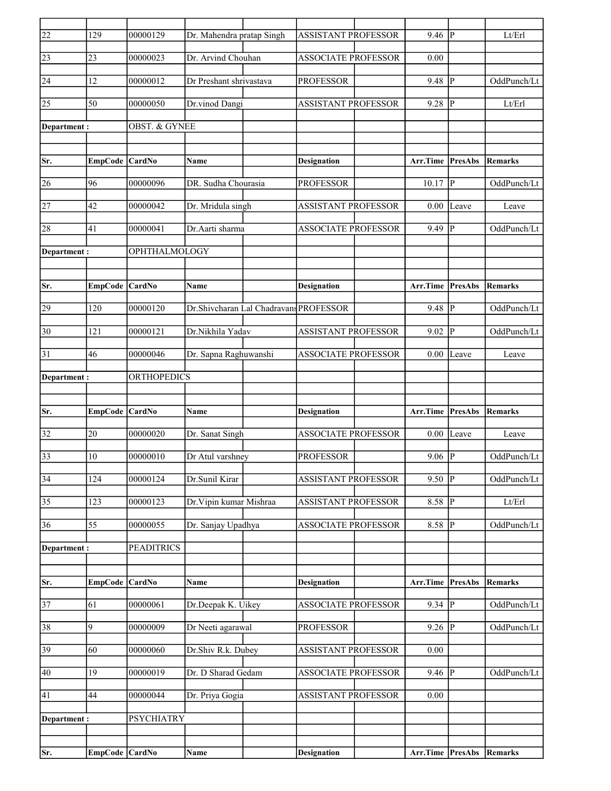| 22              | 129             | 00000129                 | Dr. Mahendra pratap Singh              | <b>ASSISTANT PROFESSOR</b> | $9.46$ P         |                | Lt/Erl         |
|-----------------|-----------------|--------------------------|----------------------------------------|----------------------------|------------------|----------------|----------------|
| 23              | 23              | 00000023                 | Dr. Arvind Chouhan                     | <b>ASSOCIATE PROFESSOR</b> | 0.00             |                |                |
| 24              | 12              | 00000012                 | Dr Preshant shrivastava                | <b>PROFESSOR</b>           | 9.48             | $\mathbf P$    | OddPunch/Lt    |
| 25              | 50              | 00000050                 | Dr.vinod Dangi                         | <b>ASSISTANT PROFESSOR</b> | 9.28             | P              | Lt/Erl         |
|                 |                 |                          |                                        |                            |                  |                |                |
| Department :    |                 | <b>OBST. &amp; GYNEE</b> |                                        |                            |                  |                |                |
|                 |                 |                          |                                        |                            |                  |                |                |
| Sr.             | EmpCode CardNo  |                          | Name                                   | <b>Designation</b>         | Arr.Time         | <b>PresAbs</b> | <b>Remarks</b> |
| 26              | 96              | 00000096                 | DR. Sudha Chourasia                    | <b>PROFESSOR</b>           | 10.17            | ΙP             | OddPunch/Lt    |
| 27              | 42              | 00000042                 | Dr. Mridula singh                      | <b>ASSISTANT PROFESSOR</b> | 0.00             | Leave          | Leave          |
| 28              | 41              | 00000041                 | Dr.Aarti sharma                        | <b>ASSOCIATE PROFESSOR</b> | 9.49             | $\mathbf{P}$   | OddPunch/Lt    |
| Department:     |                 | <b>OPHTHALMOLOGY</b>     |                                        |                            |                  |                |                |
|                 |                 |                          |                                        |                            |                  |                |                |
| Sr.             | EmpCode CardNo  |                          | Name                                   | <b>Designation</b>         | Arr.Time         | <b>PresAbs</b> | Remarks        |
| 29              | 120             | 00000120                 | Dr.Shivcharan Lal Chadravans PROFESSOR |                            | 9.48             | ∣P             | OddPunch/Lt    |
|                 |                 |                          |                                        |                            |                  |                |                |
| 30              | 121             | 00000121                 | Dr.Nikhila Yadav                       | <b>ASSISTANT PROFESSOR</b> | 9.02             | $\mathbf P$    | OddPunch/Lt    |
| 31              | 46              | 00000046                 | Dr. Sapna Raghuwanshi                  | <b>ASSOCIATE PROFESSOR</b> | 0.00             | Leave          | Leave          |
| Department :    |                 | <b>ORTHOPEDICS</b>       |                                        |                            |                  |                |                |
|                 |                 |                          |                                        |                            |                  |                |                |
| Sr.             | EmpCode CardNo  |                          | Name                                   | <b>Designation</b>         | Arr.Time         | PresAbs        | Remarks        |
| 32              | 20              | 00000020                 | Dr. Sanat Singh                        | <b>ASSOCIATE PROFESSOR</b> | 0.00             | Leave          | Leave          |
| 33              | 10              | 00000010                 | Dr Atul varshney                       | <b>PROFESSOR</b>           | 9.06             | $\mathbf P$    | OddPunch/Lt    |
|                 |                 |                          |                                        |                            |                  |                |                |
| $\overline{34}$ | 124             | 00000124                 | Dr.Sunil Kirar                         | <b>ASSISTANT PROFESSOR</b> | $9.50$ P         |                | OddPunch/Lt    |
| 35              | 123             | 00000123                 | Dr. Vipin kumar Mishraa                | ASSISTANT PROFESSOR        | 8.58             | P              | Lt/Erl         |
| 36              | 55              | 00000055                 | Dr. Sanjay Upadhya                     | <b>ASSOCIATE PROFESSOR</b> | 8.58             | P              | OddPunch/Lt    |
| Department:     |                 | <b>PEADITRICS</b>        |                                        |                            |                  |                |                |
|                 |                 |                          |                                        |                            |                  |                |                |
| Sr.             | EmpCode CardNo  |                          | Name                                   | <b>Designation</b>         | Arr.Time         | <b>PresAbs</b> | <b>Remarks</b> |
| $\overline{37}$ | $\overline{61}$ | 00000061                 | Dr.Deepak K. Uikey                     | <b>ASSOCIATE PROFESSOR</b> | $9.34$ P         |                | OddPunch/Lt    |
| 38              | 9               | 00000009                 | Dr Neeti agarawal                      | <b>PROFESSOR</b>           | 9.26             | P              | OddPunch/Lt    |
|                 |                 |                          |                                        |                            |                  |                |                |
| 39              | 60              | 00000060                 | Dr.Shiv R.k. Dubey                     | <b>ASSISTANT PROFESSOR</b> | $0.00\,$         |                |                |
| 40              | 19              | 00000019                 | Dr. D Sharad Gedam                     | <b>ASSOCIATE PROFESSOR</b> | 9.46  P          |                | OddPunch/Lt    |
| 41              | 44              | 00000044                 | Dr. Priya Gogia                        | <b>ASSISTANT PROFESSOR</b> | 0.00             |                |                |
| Department:     |                 | <b>PSYCHIATRY</b>        |                                        |                            |                  |                |                |
|                 |                 |                          |                                        |                            |                  |                |                |
| Sr.             | EmpCode CardNo  |                          | Name                                   | <b>Designation</b>         | Arr.Time PresAbs |                | <b>Remarks</b> |
|                 |                 |                          |                                        |                            |                  |                |                |